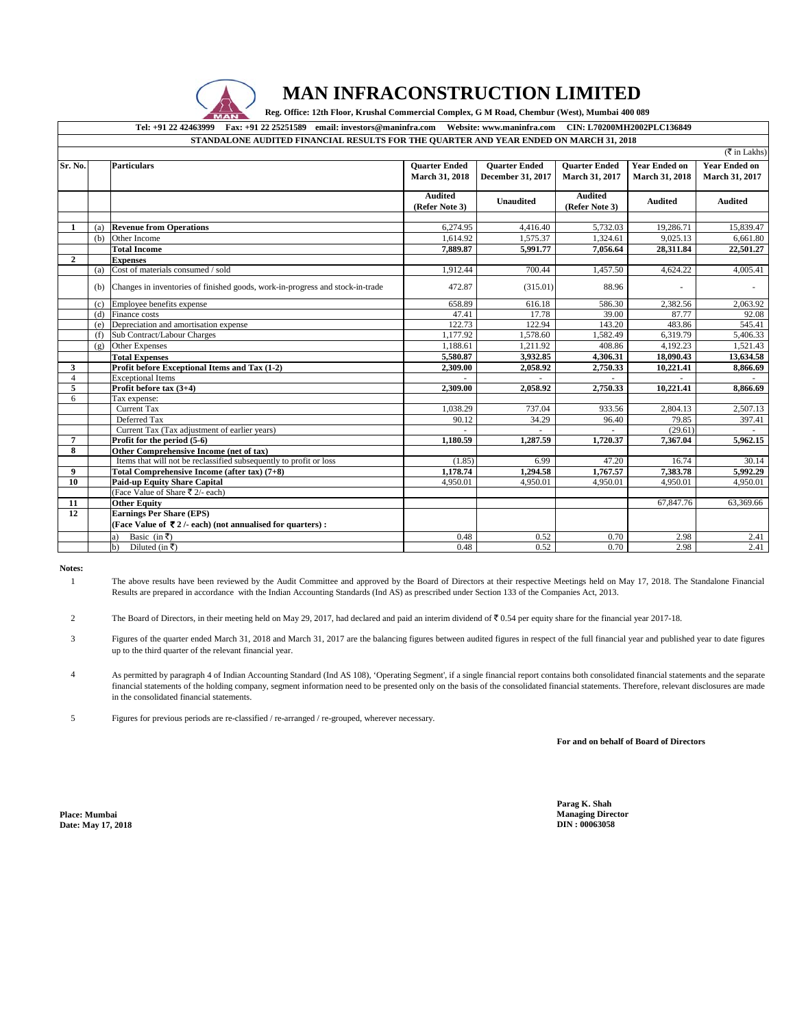

## **MAN INFRACONSTRUCTION LIMITED**

| *******************************<br>Reg. Office: 12th Floor, Krushal Commercial Complex, G M Road, Chembur (West), Mumbai 400 089<br><b>MAN</b> |     |                                                                                                                                 |                                        |                                           |                                        |                                        |                                        |  |  |
|------------------------------------------------------------------------------------------------------------------------------------------------|-----|---------------------------------------------------------------------------------------------------------------------------------|----------------------------------------|-------------------------------------------|----------------------------------------|----------------------------------------|----------------------------------------|--|--|
|                                                                                                                                                |     | Fax: +91 22 25251589 email: investors@maninfra.com Website: www.maninfra.com CIN: L70200MH2002PLC136849<br>Tel: +91 22 42463999 |                                        |                                           |                                        |                                        |                                        |  |  |
|                                                                                                                                                |     | STANDALONE AUDITED FINANCIAL RESULTS FOR THE QUARTER AND YEAR ENDED ON MARCH 31, 2018                                           |                                        |                                           |                                        |                                        |                                        |  |  |
|                                                                                                                                                |     |                                                                                                                                 |                                        |                                           |                                        |                                        | $(\overline{\tau}$ in Lakhs)           |  |  |
| Sr. No.                                                                                                                                        |     | <b>Particulars</b>                                                                                                              | <b>Ouarter Ended</b><br>March 31, 2018 | <b>Ouarter Ended</b><br>December 31, 2017 | <b>Ouarter Ended</b><br>March 31, 2017 | <b>Year Ended on</b><br>March 31, 2018 | <b>Year Ended on</b><br>March 31, 2017 |  |  |
|                                                                                                                                                |     |                                                                                                                                 | Audited<br>(Refer Note 3)              | <b>Unaudited</b>                          | <b>Audited</b><br>(Refer Note 3)       | <b>Audited</b>                         | <b>Audited</b>                         |  |  |
| 1                                                                                                                                              | (a) | <b>Revenue from Operations</b>                                                                                                  | 6,274.95                               | 4,416.40                                  | 5,732.03                               | 19,286.71                              | 15,839.47                              |  |  |
|                                                                                                                                                | (b) | Other Income                                                                                                                    | 1.614.92                               | 1.575.37                                  | 1.324.61                               | 9.025.13                               | 6.661.80                               |  |  |
|                                                                                                                                                |     | <b>Total Income</b>                                                                                                             | 7.889.87                               | 5,991.77                                  | 7,056.64                               |                                        |                                        |  |  |
| $\mathbf{2}$                                                                                                                                   |     | <b>Expenses</b>                                                                                                                 |                                        |                                           |                                        | 28,311.84                              | 22,501.27                              |  |  |
|                                                                                                                                                |     | (a) Cost of materials consumed / sold                                                                                           | 1,912.44                               | 700.44                                    | 1,457.50                               | 4,624.22                               | 4,005.41                               |  |  |
|                                                                                                                                                |     |                                                                                                                                 |                                        |                                           |                                        |                                        |                                        |  |  |
|                                                                                                                                                | (b) | Changes in inventories of finished goods, work-in-progress and stock-in-trade                                                   | 472.87                                 | (315.01)                                  | 88.96                                  |                                        |                                        |  |  |
|                                                                                                                                                | (c) | Employee benefits expense                                                                                                       | 658.89                                 | 616.18                                    | 586.30                                 | 2.382.56                               | 2.063.92                               |  |  |
|                                                                                                                                                | (d) | Finance costs                                                                                                                   | 47.41                                  | 17.78                                     | 39.00                                  | 87.77                                  | 92.08                                  |  |  |
|                                                                                                                                                | (e) | Depreciation and amortisation expense                                                                                           | 122.73                                 | 122.94                                    | 143.20                                 | 483.86                                 | 545.41                                 |  |  |
|                                                                                                                                                | (f) | Sub Contract/Labour Charges                                                                                                     | 1,177.92                               | 1,578.60                                  | 1,582.49                               | 6,319.79                               | 5,406.33                               |  |  |
|                                                                                                                                                | (g) | Other Expenses                                                                                                                  | 1,188.61                               | 1,211.92                                  | 408.86                                 | 4,192.23                               | 1.521.43                               |  |  |
|                                                                                                                                                |     | <b>Total Expenses</b>                                                                                                           | 5,580.87                               | 3,932.85                                  | 4,306.31                               | 18,090.43                              | 13,634.58                              |  |  |
| $\mathbf{3}$                                                                                                                                   |     | Profit before Exceptional Items and Tax (1-2)                                                                                   | 2.309.00                               | 2,058.92                                  | 2,750.33                               | 10,221.41                              | 8,866.69                               |  |  |
| $\overline{4}$                                                                                                                                 |     | <b>Exceptional Items</b>                                                                                                        |                                        |                                           |                                        |                                        |                                        |  |  |
| 5                                                                                                                                              |     | Profit before $tax(3+4)$                                                                                                        | 2.309.00                               | 2.058.92                                  | 2,750.33                               | 10,221.41                              | 8.866.69                               |  |  |
| 6                                                                                                                                              |     | Tax expense:                                                                                                                    |                                        |                                           |                                        |                                        |                                        |  |  |
|                                                                                                                                                |     | <b>Current Tax</b>                                                                                                              | 1.038.29                               | 737.04                                    | 933.56                                 | 2.804.13                               | 2.507.13                               |  |  |
|                                                                                                                                                |     | Deferred Tax                                                                                                                    | 90.12                                  | 34.29                                     | 96.40                                  | 79.85                                  | 397.41                                 |  |  |
|                                                                                                                                                |     | Current Tax (Tax adjustment of earlier years)                                                                                   |                                        |                                           |                                        | (29.61)                                |                                        |  |  |
| $\overline{7}$                                                                                                                                 |     | Profit for the period (5-6)                                                                                                     | 1.180.59                               | 1.287.59                                  | 1,720.37                               | 7.367.04                               | 5,962.15                               |  |  |
| 8                                                                                                                                              |     | Other Comprehensive Income (net of tax)                                                                                         |                                        |                                           |                                        |                                        |                                        |  |  |
|                                                                                                                                                |     | Items that will not be reclassified subsequently to profit or loss                                                              | (1.85)                                 | 6.99                                      | 47.20                                  | 16.74                                  | 30.14                                  |  |  |
| 9                                                                                                                                              |     | Total Comprehensive Income (after tax) (7+8)                                                                                    | 1,178.74                               | 1,294.58                                  | 1,767.57                               | 7,383.78                               | 5,992.29                               |  |  |
| 10                                                                                                                                             |     | <b>Paid-up Equity Share Capital</b>                                                                                             | 4,950.01                               | 4,950.01                                  | 4,950.01                               | 4,950.01                               | 4,950.01                               |  |  |
|                                                                                                                                                |     | (Face Value of Share ₹ 2/- each)                                                                                                |                                        |                                           |                                        |                                        |                                        |  |  |
| 11                                                                                                                                             |     | <b>Other Equity</b>                                                                                                             |                                        |                                           |                                        | 67,847.76                              | 63,369.66                              |  |  |
| 12                                                                                                                                             |     | <b>Earnings Per Share (EPS)</b>                                                                                                 |                                        |                                           |                                        |                                        |                                        |  |  |
|                                                                                                                                                |     | (Face Value of $\bar{\mathbf{\nabla}}$ 2/- each) (not annualised for quarters):                                                 |                                        |                                           |                                        |                                        |                                        |  |  |
|                                                                                                                                                |     | Basic (in ₹)<br>a)                                                                                                              | 0.48                                   | 0.52                                      | 0.70                                   | 2.98                                   | 2.41                                   |  |  |
|                                                                                                                                                |     | Diluted (in ₹)<br>b)                                                                                                            | 0.48                                   | 0.52                                      | 0.70                                   | 2.98                                   | 2.41                                   |  |  |

**Notes:** 1

The above results have been reviewed by the Audit Committee and approved by the Board of Directors at their respective Meetings held on May 17, 2018. The Standalone Financial Results are prepared in accordance with the Indian Accounting Standards (Ind AS) as prescribed under Section 133 of the Companies Act, 2013.

2 The Board of Directors, in their meeting held on May 29, 2017, had declared and paid an interim dividend of  $\mathfrak{F}$  0.54 per equity share for the financial year 2017-18.

- 3 Figures of the quarter ended March 31, 2018 and March 31, 2017 are the balancing figures between audited figures in respect of the full financial year and published year to date figures up to the third quarter of the relevant financial year.
- 4 As permitted by paragraph 4 of Indian Accounting Standard (Ind AS 108), 'Operating Segment', if a single financial report contains both consolidated financial statements and the separate financial statements of the holding company, segment information need to be presented only on the basis of the consolidated financial statements. Therefore, relevant disclosures are made in the consolidated financial statements.

5 Figures for previous periods are re-classified / re-arranged / re-grouped, wherever necessary.

**For and on behalf of Board of Directors**

**Date: May 17, 2018** 

**Parag K. Shah Place: Mumbai Managing Director**